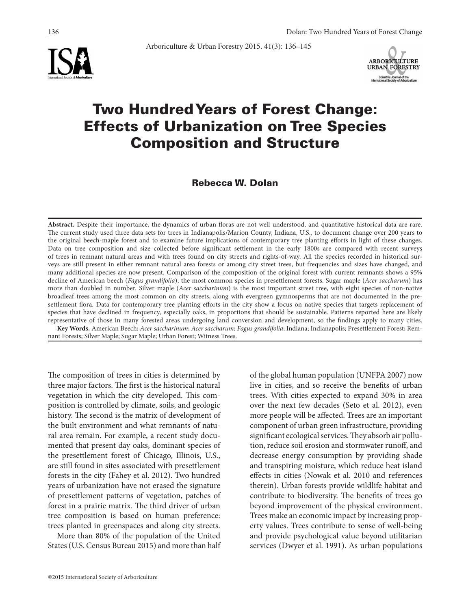

# Two Hundred Years of Forest Change: Effects of Urbanization on Tree Species Composition and Structure

Arboriculture & Urban Forestry 2015. 41(3): 136–145

Rebecca W. Dolan

**Abstract.** Despite their importance, the dynamics of urban floras are not well understood, and quantitative historical data are rare. The current study used three data sets for trees in Indianapolis/Marion County, Indiana, U.S., to document change over 200 years to the original beech-maple forest and to examine future implications of contemporary tree planting efforts in light of these changes. Data on tree composition and size collected before significant settlement in the early 1800s are compared with recent surveys of trees in remnant natural areas and with trees found on city streets and rights-of-way. All the species recorded in historical surveys are still present in either remnant natural area forests or among city street trees, but frequencies and sizes have changed, and many additional species are now present. Comparison of the composition of the original forest with current remnants shows a 95% decline of American beech (*Fagus grandifolia*), the most common species in presettlement forests. Sugar maple (*Acer saccharum*) has more than doubled in number. Silver maple (*Acer saccharinum*) is the most important street tree, with eight species of non-native broadleaf trees among the most common on city streets, along with evergreen gymnosperms that are not documented in the presettlement flora. Data for contemporary tree planting efforts in the city show a focus on native species that targets replacement of species that have declined in frequency, especially oaks, in proportions that should be sustainable. Patterns reported here are likely representative of those in many forested areas undergoing land conversion and development, so the findings apply to many cities. **Key Words.** American Beech; *Acer saccharinum*; *Acer saccharum*; *Fagus grandifolia*; Indiana; Indianapolis; Presettlement Forest; Rem-

nant Forests; Silver Maple; Sugar Maple; Urban Forest; Witness Trees.

The composition of trees in cities is determined by three major factors. The first is the historical natural vegetation in which the city developed. This composition is controlled by climate, soils, and geologic history. The second is the matrix of development of the built environment and what remnants of natural area remain. For example, a recent study documented that present day oaks, dominant species of the presettlement forest of Chicago, Illinois, U.S., are still found in sites associated with presettlement forests in the city (Fahey et al. 2012). Two hundred years of urbanization have not erased the signature of presettlement patterns of vegetation, patches of forest in a prairie matrix. The third driver of urban tree composition is based on human preference: trees planted in greenspaces and along city streets.

More than 80% of the population of the United States (U.S. Census Bureau 2015) and more than half

©2015 International Society of Arboriculture

of the global human population (UNFPA 2007) now live in cities, and so receive the benefits of urban trees. With cities expected to expand 30% in area over the next few decades (Seto et al. 2012), even more people will be affected. Trees are an important component of urban green infrastructure, providing significant ecological services. They absorb air pollution, reduce soil erosion and stormwater runoff, and decrease energy consumption by providing shade and transpiring moisture, which reduce heat island effects in cities (Nowak et al. 2010 and references therein). Urban forests provide wildlife habitat and contribute to biodiversity. The benefits of trees go beyond improvement of the physical environment. Trees make an economic impact by increasing property values. Trees contribute to sense of well-being and provide psychological value beyond utilitarian services (Dwyer et al. 1991). As urban populations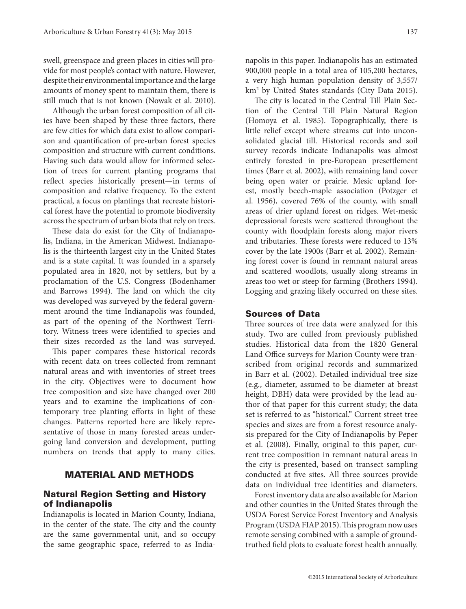swell, greenspace and green places in cities will provide for most people's contact with nature. However, despite their environmental importance and the large amounts of money spent to maintain them, there is still much that is not known (Nowak et al. 2010).

Although the urban forest composition of all cities have been shaped by these three factors, there are few cities for which data exist to allow comparison and quantification of pre-urban forest species composition and structure with current conditions. Having such data would allow for informed selection of trees for current planting programs that reflect species historically present—in terms of composition and relative frequency. To the extent practical, a focus on plantings that recreate historical forest have the potential to promote biodiversity across the spectrum of urban biota that rely on trees.

These data do exist for the City of Indianapolis, Indiana, in the American Midwest. Indianapolis is the thirteenth largest city in the United States and is a state capital. It was founded in a sparsely populated area in 1820, not by settlers, but by a proclamation of the U.S. Congress (Bodenhamer and Barrows 1994). The land on which the city was developed was surveyed by the federal government around the time Indianapolis was founded, as part of the opening of the Northwest Territory. Witness trees were identified to species and their sizes recorded as the land was surveyed.

This paper compares these historical records with recent data on trees collected from remnant natural areas and with inventories of street trees in the city. Objectives were to document how tree composition and size have changed over 200 years and to examine the implications of contemporary tree planting efforts in light of these changes. Patterns reported here are likely representative of those in many forested areas undergoing land conversion and development, putting numbers on trends that apply to many cities.

### MATERIAL AND METHODS

#### Natural Region Setting and History of Indianapolis

Indianapolis is located in Marion County, Indiana, in the center of the state. The city and the county are the same governmental unit, and so occupy the same geographic space, referred to as Indianapolis in this paper. Indianapolis has an estimated 900,000 people in a total area of 105,200 hectares, a very high human population density of 3,557/ km2 by United States standards (City Data 2015).

The city is located in the Central Till Plain Section of the Central Till Plain Natural Region (Homoya et al. 1985). Topographically, there is little relief except where streams cut into unconsolidated glacial till. Historical records and soil survey records indicate Indianapolis was almost entirely forested in pre-European presettlement times (Barr et al. 2002), with remaining land cover being open water or prairie. Mesic upland forest, mostly beech-maple association (Potzger et al. 1956), covered 76% of the county, with small areas of drier upland forest on ridges. Wet-mesic depressional forests were scattered throughout the county with floodplain forests along major rivers and tributaries. These forests were reduced to 13% cover by the late 1900s (Barr et al. 2002). Remaining forest cover is found in remnant natural areas and scattered woodlots, usually along streams in areas too wet or steep for farming (Brothers 1994). Logging and grazing likely occurred on these sites.

# Sources of Data

Three sources of tree data were analyzed for this study. Two are culled from previously published studies. Historical data from the 1820 General Land Office surveys for Marion County were transcribed from original records and summarized in Barr et al. (2002). Detailed individual tree size (e.g., diameter, assumed to be diameter at breast height, DBH) data were provided by the lead author of that paper for this current study; the data set is referred to as "historical." Current street tree species and sizes are from a forest resource analysis prepared for the City of Indianapolis by Peper et al. (2008). Finally, original to this paper, current tree composition in remnant natural areas in the city is presented, based on transect sampling conducted at five sites. All three sources provide data on individual tree identities and diameters.

Forest inventory data are also available for Marion and other counties in the United States through the USDA Forest Service Forest Inventory and Analysis Program (USDA FIAP 2015). This program now uses remote sensing combined with a sample of groundtruthed field plots to evaluate forest health annually.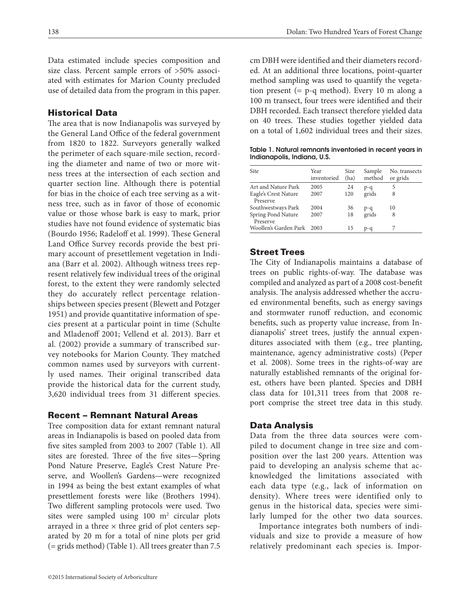Data estimated include species composition and size class. Percent sample errors of >50% associated with estimates for Marion County precluded use of detailed data from the program in this paper.

# Historical Data

The area that is now Indianapolis was surveyed by the General Land Office of the federal government from 1820 to 1822. Surveyors generally walked the perimeter of each square-mile section, recording the diameter and name of two or more witness trees at the intersection of each section and quarter section line. Although there is potential for bias in the choice of each tree serving as a witness tree, such as in favor of those of economic value or those whose bark is easy to mark, prior studies have not found evidence of systematic bias (Bourdo 1956; Radeloff et al. 1999). These General Land Office Survey records provide the best primary account of presettlement vegetation in Indiana (Barr et al. 2002). Although witness trees represent relatively few individual trees of the original forest, to the extent they were randomly selected they do accurately reflect percentage relationships between species present (Blewett and Potzger 1951) and provide quantitative information of species present at a particular point in time (Schulte and Mladenoff 2001; Vellend et al. 2013). Barr et al. (2002) provide a summary of transcribed survey notebooks for Marion County. They matched common names used by surveyors with currently used names. Their original transcribed data provide the historical data for the current study, 3,620 individual trees from 31 different species.

# Recent – Remnant Natural Areas

Tree composition data for extant remnant natural areas in Indianapolis is based on pooled data from five sites sampled from 2003 to 2007 (Table 1). All sites are forested. Three of the five sites—Spring Pond Nature Preserve, Eagle's Crest Nature Preserve, and Woollen's Gardens—were recognized in 1994 as being the best extant examples of what presettlement forests were like (Brothers 1994). Two different sampling protocols were used. Two sites were sampled using  $100 \text{ m}^2$  circular plots arrayed in a three  $\times$  three grid of plot centers separated by 20 m for a total of nine plots per grid (= grids method) (Table 1). All trees greater than 7.5

cm DBH were identified and their diameters recorded. At an additional three locations, point-quarter method sampling was used to quantify the vegetation present (= p-q method). Every 10 m along a 100 m transect, four trees were identified and their DBH recorded. Each transect therefore yielded data on 40 trees. These studies together yielded data on a total of 1,602 individual trees and their sizes.

Table 1. Natural remnants inventoried in recent years in Indianapolis, Indiana, U.S.

| Site                             | Year<br>inventoried | Size<br>(ha) | Sample<br>method | No. transects<br>or grids |
|----------------------------------|---------------------|--------------|------------------|---------------------------|
| Art and Nature Park              | 2005                | 24           | p-q              | 5                         |
| Eagle's Crest Nature<br>Preserve | 2007                | 120          | grids            | 8                         |
| Southwestways Park               | 2004                | 36           | $p - q$          | 10                        |
| Spring Pond Nature<br>Preserve   | 2007                | 18           | grids            | 8                         |
| Woollen's Garden Park            | 2003                | 15           | p-a              |                           |

# Street Trees

The City of Indianapolis maintains a database of trees on public rights-of-way. The database was compiled and analyzed as part of a 2008 cost-benefit analysis. The analysis addressed whether the accrued environmental benefits, such as energy savings and stormwater runoff reduction, and economic benefits, such as property value increase, from Indianapolis' street trees, justify the annual expenditures associated with them (e.g., tree planting, maintenance, agency administrative costs) (Peper et al. 2008). Some trees in the rights-of-way are naturally established remnants of the original forest, others have been planted. Species and DBH class data for 101,311 trees from that 2008 report comprise the street tree data in this study.

# Data Analysis

Data from the three data sources were compiled to document change in tree size and composition over the last 200 years. Attention was paid to developing an analysis scheme that acknowledged the limitations associated with each data type (e.g., lack of information on density). Where trees were identified only to genus in the historical data, species were similarly lumped for the other two data sources.

Importance integrates both numbers of individuals and size to provide a measure of how relatively predominant each species is. Impor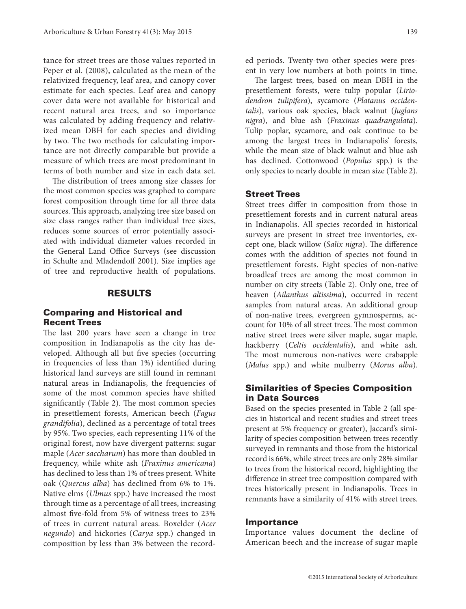tance for street trees are those values reported in Peper et al. (2008), calculated as the mean of the relativized frequency, leaf area, and canopy cover estimate for each species. Leaf area and canopy cover data were not available for historical and recent natural area trees, and so importance was calculated by adding frequency and relativized mean DBH for each species and dividing by two. The two methods for calculating importance are not directly comparable but provide a measure of which trees are most predominant in terms of both number and size in each data set.

The distribution of trees among size classes for the most common species was graphed to compare forest composition through time for all three data sources. This approach, analyzing tree size based on size class ranges rather than individual tree sizes, reduces some sources of error potentially associated with individual diameter values recorded in the General Land Office Surveys (see discussion in Schulte and Mladendoff 2001). Size implies age of tree and reproductive health of populations.

#### RESULTS

# Comparing and Historical and Recent Trees

The last 200 years have seen a change in tree composition in Indianapolis as the city has developed. Although all but five species (occurring in frequencies of less than 1%) identified during historical land surveys are still found in remnant natural areas in Indianapolis, the frequencies of some of the most common species have shifted significantly (Table 2). The most common species in presettlement forests, American beech (*Fagus grandifolia*), declined as a percentage of total trees by 95%. Two species, each representing 11% of the original forest, now have divergent patterns: sugar maple (*Acer saccharum*) has more than doubled in frequency, while white ash (*Fraxinus americana*) has declined to less than 1% of trees present. White oak (*Quercus alba*) has declined from 6% to 1%. Native elms (*Ulmus* spp.) have increased the most through time as a percentage of all trees, increasing almost five-fold from 5% of witness trees to 23% of trees in current natural areas. Boxelder (*Acer negundo*) and hickories (*Carya* spp.) changed in composition by less than 3% between the recorded periods. Twenty-two other species were present in very low numbers at both points in time.

The largest trees, based on mean DBH in the presettlement forests, were tulip popular (*Liriodendron tulipifera*), sycamore (*Platanus occidentalis*), various oak species, black walnut (*Juglans nigra*), and blue ash (*Fraxinus quadrangulata*). Tulip poplar, sycamore, and oak continue to be among the largest trees in Indianapolis' forests, while the mean size of black walnut and blue ash has declined. Cottonwood (*Populus* spp.) is the only species to nearly double in mean size (Table 2).

#### Street Trees

Street trees differ in composition from those in presettlement forests and in current natural areas in Indianapolis. All species recorded in historical surveys are present in street tree inventories, except one, black willow (*Salix nigra*). The difference comes with the addition of species not found in presettlement forests. Eight species of non-native broadleaf trees are among the most common in number on city streets (Table 2). Only one, tree of heaven (*Ailanthus altissima*), occurred in recent samples from natural areas. An additional group of non-native trees, evergreen gymnosperms, account for 10% of all street trees. The most common native street trees were silver maple, sugar maple, hackberry (*Celtis occidentalis*), and white ash. The most numerous non-natives were crabapple (*Malus* spp.) and white mulberry (*Morus alba*).

# Similarities of Species Composition in Data Sources

Based on the species presented in Table 2 (all species in historical and recent studies and street trees present at 5% frequency or greater), Jaccard's similarity of species composition between trees recently surveyed in remnants and those from the historical record is 66%, while street trees are only 28% similar to trees from the historical record, highlighting the difference in street tree composition compared with trees historically present in Indianapolis. Trees in remnants have a similarity of 41% with street trees.

#### Importance

Importance values document the decline of American beech and the increase of sugar maple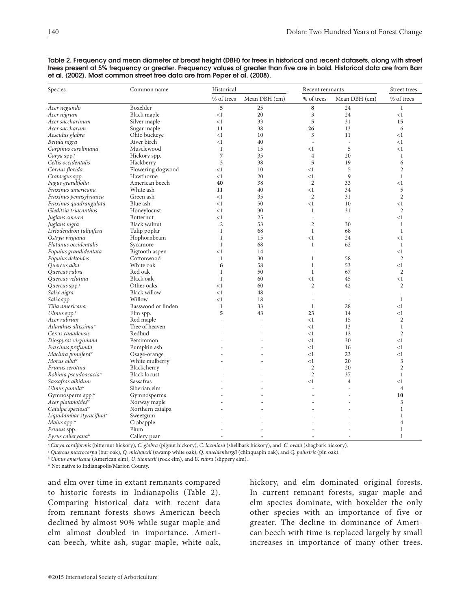| Species                              | Common name         | Historical     |                |                          | Recent remnants |                |
|--------------------------------------|---------------------|----------------|----------------|--------------------------|-----------------|----------------|
|                                      |                     | % of trees     | Mean DBH (cm)  | % of trees               | Mean DBH (cm)   | % of trees     |
| Acer negundo                         | Boxelder            | 5              | 25             | 8                        | 24              | $\mathbf{1}$   |
| Acer nigrum                          | Black maple         | <1             | 20             | 3                        | 24              | $<$ 1          |
| Acer saccharinum                     | Silver maple        | <1             | 33             | 5                        | 31              | 15             |
| Acer saccharum                       | Sugar maple         | 11             | 38             | 26                       | 13              | 6              |
| Aesculus glabra                      | Ohio buckeye        | <1             | 10             | 3                        | 11              | $<$ 1          |
| Betula nigra                         | River birch         | <1             | 40             | $\overline{\phantom{a}}$ | $\sim$          | $<$ 1          |
| Carpinus caroliniana                 | Musclewood          | $\mathbf{1}$   | 15             | <1                       | 5               | <1             |
| Carya spp. <sup>2</sup>              | Hickory spp.        | $\overline{7}$ | 35             | $\overline{4}$           | 20              | $\mathbf{1}$   |
| Celtis occidentalis                  | Hackberry           | 3              | 38             | 5                        | 19              | 6              |
| Cornus florida                       | Flowering dogwood   | <1             | 10             | <1                       | 5               | $\mathbf{2}$   |
| Crataegus spp.                       | Hawthorne           | $\leq$ 1       | 20             | $<$ 1                    | 9               | $\mathbf{1}$   |
| Fagus grandifolia                    | American beech      | 40             | 38             | $\overline{2}$           | 33              | <1             |
| Fraxinus americana                   | White ash           | 11             | 40             | $<$ 1                    | 34              | 5              |
| Fraxinus pennsylvanica               | Green ash           | <1             | 35             | $\overline{2}$           | 31              | $\overline{2}$ |
| Fraxinus quadrangulata               | Blue ash            | <1             | 50             | <1                       | 10              | <1             |
| Gleditsia triacanthos                | Honeylocust         | $\leq$ 1       | 30             | $\mathbf{1}$             | 31              | $\overline{2}$ |
| Juglans cinerea                      | Butternut           | $\leq$ 1       | 25             | $\overline{a}$           | $\sim$          | <1             |
| Juglans nigra                        | Black walnut        | $\overline{2}$ | 53             | $\mathbf{2}$             | 30              | $\mathbf{1}$   |
| Liriodendron tulipifera              | Tulip poplar        | $\mathbf{1}$   | 68             | $\mathbf{1}$             | 68              | $\mathbf{1}$   |
| Ostrya virgiana                      | Hophornbeam         | $\mathbf{1}$   | 15             | $<$ 1                    | 24              | <1             |
| Platanus occidentalis                | Sycamore            | $\mathbf{1}$   | 68             | $\mathbf{1}$             | 62              | $\mathbf{1}$   |
| Populus grandidentata                | Bigtooth aspen      | <1             | 14             | ÷                        | $\sim$          | $<$ 1          |
| Populus deltoides                    | Cottonwood          | $\mathbf{1}$   | 30             | $\mathbf{1}$             | 58              | $\overline{2}$ |
| Quercus alba                         | White oak           | 6              | 58             | $\mathbf{1}$             | 53              | <1             |
| Ouercus rubra                        | Red oak             | $\mathbf{1}$   | 50             | $\mathbf{1}$             | 67              | $\overline{2}$ |
| Quercus velutina                     | <b>Black oak</b>    | $\mathbf{1}$   | 60             | $<$ 1                    | 45              | $<$ 1          |
| Quercus spp. <sup>y</sup>            | Other oaks          | <1             | 60             | $\mathbf{2}$             | 42              | $\overline{c}$ |
| Salix nigra                          | <b>Black willow</b> | <1             | 48             | $\overline{\phantom{a}}$ | $\overline{a}$  | $\frac{1}{2}$  |
| Salix spp.                           | Willow              | $\leq$ 1       | 18             | $\overline{a}$           | $\sim$          | $\mathbf{1}$   |
| Tilia americana                      | Basswood or linden  | $\mathbf{1}$   | 33             | 1                        | 28              | $<$ 1          |
| Ulmus spp. $x$                       | Elm spp.            | 5              | 43             | 23                       | 14              | $<$ 1          |
| Acer rubrum                          | Red maple           | L.             | $\overline{a}$ | <1                       | 15              | $\overline{c}$ |
| Ailanthus altissima <sup>w</sup>     | Tree of heaven      |                | L,             | <1                       | 13              | $\mathbf{1}$   |
| Cercis canadensis                    | Redbud              | L,             | Ĭ.             | <1                       | 12              | $\overline{2}$ |
| Diospyros virginiana                 | Persimmon           | J.             | ä,             | $<$ $1$                  | 30              | $<$ 1          |
| Fraxinus profunda                    | Pumpkin ash         |                |                | <1                       | 16              | <1             |
| Maclura pomifera <sup>w</sup>        | Osage-orange        |                |                | <1                       | 23              | $<$ 1          |
| Morus alba <sup>w</sup>              | White mulberry      |                |                | <1                       | 20              | 3              |
| Prunus serotina                      | Blackcherry         |                |                | $\mathbf{2}$             | 20              | $\mathbf{2}$   |
| Robinia pseudoacacia <sup>w</sup>    | <b>Black locust</b> |                |                | $\overline{c}$           | 37              | $\mathbf{1}$   |
| Sassafras albidum                    | Sassafras           |                |                | $<$ 1                    | $\overline{4}$  | <1             |
| Ulmus pumila <sup>w</sup>            | Siberian elm        |                |                | L.                       |                 | $\overline{4}$ |
| Gymnosperm spp. <sup>w</sup>         | Gymnosperms         |                |                |                          |                 | 10             |
| Acer platanoidesw                    | Norway maple        |                |                |                          |                 | 3              |
| Catalpa speciosa <sup>w</sup>        | Northern catalpa    |                |                |                          |                 | $\mathbf{1}$   |
| Liquidambar styraciflua <sup>w</sup> | Sweetgum            |                |                |                          |                 | 1              |
| Malus spp. $W$                       | Crabapple           |                |                |                          |                 | $\overline{4}$ |
| Prunus spp.                          | Plum                | $\overline{a}$ | $\overline{a}$ |                          |                 | 1              |
| Pyrus calleryana <sup>w</sup>        | Callery pear        | $\overline{a}$ | L,             |                          |                 | $\mathbf{1}$   |

Table 2. Frequency and mean diameter at breast height (DBH) for trees in historical and recent datasets, along with street trees present at 5% frequency or greater. Frequency values of greater than five are in bold. Historical data are from Barr et al. (2002). Most common street tree data are from Peper et al. (2008).

<sup>z</sup> *Carya cordiformis* (bitternut hickory), *C. glabra* (pignut hickory), *C. laciniosa* (shellbark hickory), and *C. ovata* (shagbark hickory).

<sup>y</sup> *Quercus macrocarpa* (bur oak), *Q. michauxii* (swamp white oak), *Q. muehlenbergii* (chinquapin oak), and *Q. palustris* (pin oak).

<sup>x</sup> *Ulmus americana* (American elm), *U. thomasii* (rock elm), and *U. rubra* (slippery elm).

w Not native to Indianapolis/Marion County.

and elm over time in extant remnants compared to historic forests in Indianapolis (Table 2). Comparing historical data with recent data from remnant forests shows American beech declined by almost 90% while sugar maple and elm almost doubled in importance. American beech, white ash, sugar maple, white oak,

hickory, and elm dominated original forests. In current remnant forests, sugar maple and elm species dominate, with boxelder the only other species with an importance of five or greater. The decline in dominance of American beech with time is replaced largely by small increases in importance of many other trees.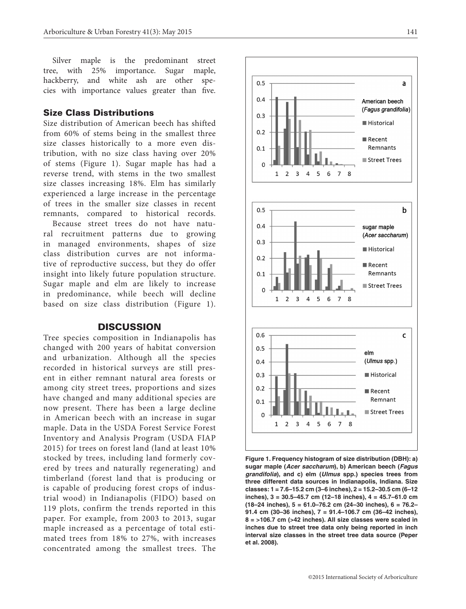Silver maple is the predominant street tree, with 25% importance. Sugar maple, hackberry, and white ash are other species with importance values greater than five.

#### Size Class Distributions

Size distribution of American beech has shifted from 60% of stems being in the smallest three size classes historically to a more even distribution, with no size class having over 20% of stems (Figure 1). Sugar maple has had a reverse trend, with stems in the two smallest size classes increasing 18%. Elm has similarly experienced a large increase in the percentage of trees in the smaller size classes in recent remnants, compared to historical records.

Because street trees do not have natural recruitment patterns due to growing in managed environments, shapes of size class distribution curves are not informative of reproductive success, but they do offer insight into likely future population structure. Sugar maple and elm are likely to increase in predominance, while beech will decline based on size class distribution (Figure 1).

#### **DISCUSSION**

Tree species composition in Indianapolis has changed with 200 years of habitat conversion and urbanization. Although all the species recorded in historical surveys are still present in either remnant natural area forests or among city street trees, proportions and sizes have changed and many additional species are now present. There has been a large decline in American beech with an increase in sugar maple. Data in the USDA Forest Service Forest Inventory and Analysis Program (USDA FIAP 2015) for trees on forest land (land at least 10% stocked by trees, including land formerly covered by trees and naturally regenerating) and timberland (forest land that is producing or is capable of producing forest crops of industrial wood) in Indianapolis (FIDO) based on 119 plots, confirm the trends reported in this paper. For example, from 2003 to 2013, sugar maple increased as a percentage of total estimated trees from 18% to 27%, with increases concentrated among the smallest trees. The



**Figure 1. Frequency histogram of size distribution (DBH): a) sugar maple (***Acer saccharum***), b) American beech (***Fagus grandifolia***), and c) elm (***Ulmus* **spp.) species trees from three different data sources in Indianapolis, Indiana. Size classes: 1 = 7.6–15.2 cm (3–6 inches), 2 = 15.2–30.5 cm (6–12 inches), 3 = 30.5–45.7 cm (12–18 inches), 4 = 45.7–61.0 cm (18–24 inches), 5 = 61.0–76.2 cm (24–30 inches), 6 = 76.2– 91.4 cm (30–36 inches), 7 = 91.4–106.7 cm (36–42 inches), 8 = >106.7 cm (>42 inches). All size classes were scaled in inches due to street tree data only being reported in inch interval size classes in the street tree data source (Peper et al. 2008).**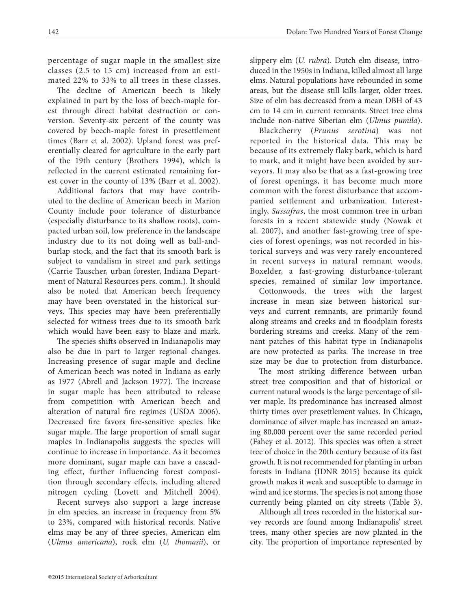percentage of sugar maple in the smallest size classes (2.5 to 15 cm) increased from an estimated 22% to 33% to all trees in these classes.

The decline of American beech is likely explained in part by the loss of beech-maple forest through direct habitat destruction or conversion. Seventy-six percent of the county was covered by beech-maple forest in presettlement times (Barr et al. 2002). Upland forest was preferentially cleared for agriculture in the early part of the 19th century (Brothers 1994), which is reflected in the current estimated remaining forest cover in the county of 13% (Barr et al. 2002).

Additional factors that may have contributed to the decline of American beech in Marion County include poor tolerance of disturbance (especially disturbance to its shallow roots), compacted urban soil, low preference in the landscape industry due to its not doing well as ball-andburlap stock, and the fact that its smooth bark is subject to vandalism in street and park settings (Carrie Tauscher, urban forester, Indiana Department of Natural Resources pers. comm.). It should also be noted that American beech frequency may have been overstated in the historical surveys. This species may have been preferentially selected for witness trees due to its smooth bark which would have been easy to blaze and mark.

The species shifts observed in Indianapolis may also be due in part to larger regional changes. Increasing presence of sugar maple and decline of American beech was noted in Indiana as early as 1977 (Abrell and Jackson 1977). The increase in sugar maple has been attributed to release from competition with American beech and alteration of natural fire regimes (USDA 2006). Decreased fire favors fire-sensitive species like sugar maple. The large proportion of small sugar maples in Indianapolis suggests the species will continue to increase in importance. As it becomes more dominant, sugar maple can have a cascading effect, further influencing forest composition through secondary effects, including altered nitrogen cycling (Lovett and Mitchell 2004).

Recent surveys also support a large increase in elm species, an increase in frequency from 5% to 23%, compared with historical records. Native elms may be any of three species, American elm (*Ulmus americana*), rock elm (*U. thomasii*), or slippery elm (*U. rubra*). Dutch elm disease, introduced in the 1950s in Indiana, killed almost all large elms. Natural populations have rebounded in some areas, but the disease still kills larger, older trees. Size of elm has decreased from a mean DBH of 43 cm to 14 cm in current remnants. Street tree elms include non-native Siberian elm (*Ulmus pumila*).

Blackcherry (*Prunus serotina*) was not reported in the historical data. This may be because of its extremely flaky bark, which is hard to mark, and it might have been avoided by surveyors. It may also be that as a fast-growing tree of forest openings, it has become much more common with the forest disturbance that accompanied settlement and urbanization. Interestingly, *Sassafras*, the most common tree in urban forests in a recent statewide study (Nowak et al. 2007), and another fast-growing tree of species of forest openings, was not recorded in historical surveys and was very rarely encountered in recent surveys in natural remnant woods. Boxelder, a fast-growing disturbance-tolerant species, remained of similar low importance.

Cottonwoods, the trees with the largest increase in mean size between historical surveys and current remnants, are primarily found along streams and creeks and in floodplain forests bordering streams and creeks. Many of the remnant patches of this habitat type in Indianapolis are now protected as parks. The increase in tree size may be due to protection from disturbance.

The most striking difference between urban street tree composition and that of historical or current natural woods is the large percentage of silver maple. Its predominance has increased almost thirty times over presettlement values. In Chicago, dominance of silver maple has increased an amazing 80,000 percent over the same recorded period (Fahey et al. 2012). This species was often a street tree of choice in the 20th century because of its fast growth. It is not recommended for planting in urban forests in Indiana (IDNR 2015) because its quick growth makes it weak and susceptible to damage in wind and ice storms. The species is not among those currently being planted on city streets (Table 3).

Although all trees recorded in the historical survey records are found among Indianapolis' street trees, many other species are now planted in the city. The proportion of importance represented by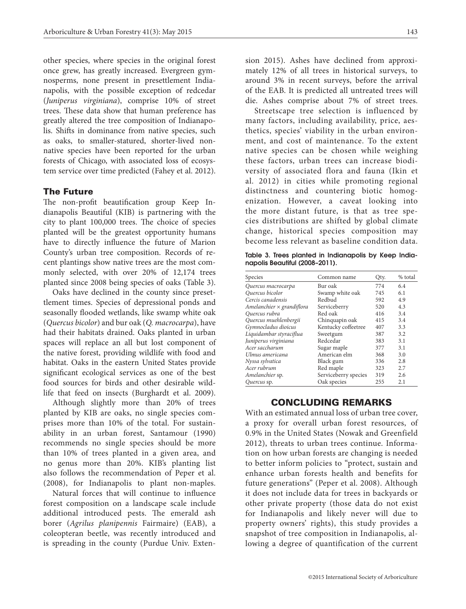other species, where species in the original forest once grew, has greatly increased. Evergreen gymnosperms, none present in presettlement Indianapolis, with the possible exception of redcedar (*Juniperus virginiana*), comprise 10% of street trees. These data show that human preference has greatly altered the tree composition of Indianapolis. Shifts in dominance from native species, such as oaks, to smaller-statured, shorter-lived nonnative species have been reported for the urban forests of Chicago, with associated loss of ecosystem service over time predicted (Fahey et al. 2012).

#### The Future

The non-profit beautification group Keep Indianapolis Beautiful (KIB) is partnering with the city to plant 100,000 trees. The choice of species planted will be the greatest opportunity humans have to directly influence the future of Marion County's urban tree composition. Records of recent plantings show native trees are the most commonly selected, with over 20% of 12,174 trees planted since 2008 being species of oaks (Table 3).

Oaks have declined in the county since presettlement times. Species of depressional ponds and seasonally flooded wetlands, like swamp white oak (*Quercus bicolor*) and bur oak (*Q. macrocarpa*), have had their habitats drained. Oaks planted in urban spaces will replace an all but lost component of the native forest, providing wildlife with food and habitat. Oaks in the eastern United States provide significant ecological services as one of the best food sources for birds and other desirable wildlife that feed on insects (Burghardt et al. 2009).

Although slightly more than 20% of trees planted by KIB are oaks, no single species comprises more than 10% of the total. For sustainability in an urban forest, Santamour (1990) recommends no single species should be more than 10% of trees planted in a given area, and no genus more than 20%. KIB's planting list also follows the recommendation of Peper et al. (2008), for Indianapolis to plant non-maples.

Natural forces that will continue to influence forest composition on a landscape scale include additional introduced pests. The emerald ash borer (*Agrilus planipennis* Fairmaire) (EAB), a coleopteran beetle, was recently introduced and is spreading in the county (Purdue Univ. Extension 2015). Ashes have declined from approximately 12% of all trees in historical surveys, to around 3% in recent surveys, before the arrival of the EAB. It is predicted all untreated trees will die. Ashes comprise about 7% of street trees.

Streetscape tree selection is influenced by many factors, including availability, price, aesthetics, species' viability in the urban environment, and cost of maintenance. To the extent native species can be chosen while weighing these factors, urban trees can increase biodiversity of associated flora and fauna (Ikin et al. 2012) in cities while promoting regional distinctness and countering biotic homogenization. However, a caveat looking into the more distant future, is that as tree species distributions are shifted by global climate change, historical species composition may become less relevant as baseline condition data.

Table 3. Trees planted in Indianapolis by Keep Indianapolis Beautiful (2008–2011).

| Species                          | Common name          | Qty. | % total |
|----------------------------------|----------------------|------|---------|
| Quercus macrocarpa               | Bur oak              | 774  | 6.4     |
| Quercus bicolor                  | Swamp white oak      | 745  | 6.1     |
| Cercis canadensis                | Redbud               | 592  | 4.9     |
| Amelanchier $\times$ grandiflora | Serviceberry         | 520  | 4.3     |
| Quercus rubra                    | Red oak              | 416  | 3.4     |
| Quercus muehlenbergii            | Chinquapin oak       | 415  | 3.4     |
| Gymnocladus dioicus              | Kentucky coffeetree  | 407  | 3.3     |
| Liquidambar styraciflua          | Sweetgum             | 387  | 3.2     |
| Juniperus virginiana             | Redcedar             | 383  | 3.1     |
| Acer saccharum                   | Sugar maple          | 377  | 3.1     |
| Ulmus americana                  | American elm         | 368  | 3.0     |
| Nyssa sylvatica                  | Black gum            | 336  | 2.8     |
| Acer rubrum                      | Red maple            | 323  | 2.7     |
| Amelanchier sp.                  | Serviceberry species | 319  | 2.6     |
| Quercus sp.                      | Oak species          | 255  | 2.1     |

# CONCLUDING REMARKS

With an estimated annual loss of urban tree cover, a proxy for overall urban forest resources, of 0.9% in the United States (Nowak and Greenfield 2012), threats to urban trees continue. Information on how urban forests are changing is needed to better inform policies to "protect, sustain and enhance urban forests health and benefits for future generations" (Peper et al. 2008). Although it does not include data for trees in backyards or other private property (those data do not exist for Indianapolis and likely never will due to property owners' rights), this study provides a snapshot of tree composition in Indianapolis, allowing a degree of quantification of the current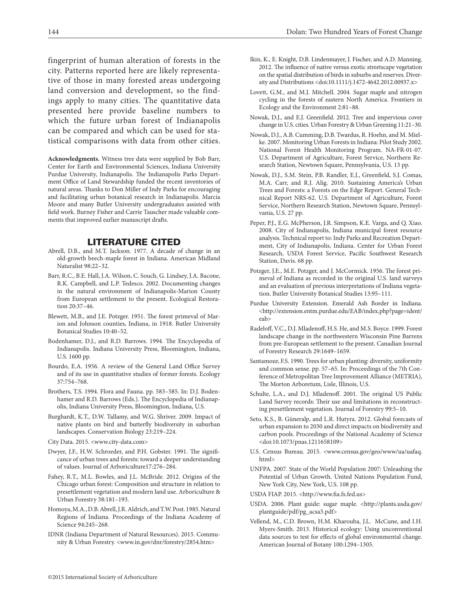fingerprint of human alteration of forests in the city. Patterns reported here are likely representative of those in many forested areas undergoing land conversion and development, so the findings apply to many cities. The quantitative data presented here provide baseline numbers to which the future urban forest of Indianapolis can be compared and which can be used for statistical comparisons with data from other cities.

**Acknowledgments.** Witness tree data were supplied by Bob Barr, Center for Earth and Environmental Sciences, Indiana University Purdue University, Indianapolis. The Indianapolis Parks Department Office of Land Stewardship funded the recent inventories of natural areas. Thanks to Don Miller of Indy Parks for encouraging and facilitating urban botanical research in Indianapolis. Marcia Moore and many Butler University undergraduates assisted with field work. Burney Fisher and Carrie Tauscher made valuable comments that improved earlier manuscript drafts.

#### LITERATURE CITED

- Abrell, D.B., and M.T. Jackson. 1977. A decade of change in an old-growth beech-maple forest in Indiana. American Midland Naturalist 98:22–32.
- Barr, R.C., B.E. Hall, J.A. Wilson, C. Souch, G. Lindsey, J.A. Bacone, R.K. Campbell, and L.P. Tedesco. 2002. Documenting changes in the natural environment of Indianapolis-Marion County from European settlement to the present. Ecological Restoration 20:37–46.
- Blewett, M.B., and J.E. Potzger. 1951. The forest primeval of Marion and Johnson counties, Indiana, in 1918. Butler University Botanical Studies 10:40–52.
- Bodenhamer, D.J., and R.D. Barrows. 1994. The Encyclopedia of Indianapolis. Indiana University Press, Bloomington, Indiana, U.S. 1600 pp.
- Bourdo, E.A. 1956. A review of the General Land Office Survey and of its use in quantitative studies of former forests. Ecology 37:754–768.
- Brothers, T.S. 1994. Flora and Fauna. pp. 583–585. In: D.J. Bodenhamer and R.D. Barrows (Eds.). The Encyclopedia of Indianapolis, Indiana University Press, Bloomington, Indiana, U.S.
- Burghardt, K.T., D.W. Tallamy, and W.G. Shriver. 2009. Impact of native plants on bird and butterfly biodiversity in suburban landscapes. Conservation Biology 23:219–224.
- City Data. 2015. <www.city-data.com>
- Dwyer, J.F., H.W. Schroeder, and P.H. Gobster. 1991. The significance of urban trees and forests: toward a deeper understanding of values. Journal of Arboriculture17:276–284.
- Fahey, R.T., M.L. Bowles, and J.L. McBride. 2012. Origins of the Chicago urban forest: Composition and structure in relation to presettlement vegetation and modern land use. Arboriculture & Urban Forestry 38:181–193.
- Homoya, M.A., D.B. Abrell, J.R. Aldrich, and T.W. Post. 1985. Natural Regions of Indiana. Proceedings of the Indiana Academy of Science 94:245–268.
- IDNR (Indiana Department of Natural Resources). 2015. Community & Urban Forestry. <www.in.gov/dnr/forestry/2854.htm>
- Ikin, K., E. Knight, D.B. Lindenmayer, J. Fischer, and A.D. Manning. 2012. The influence of native versus exotic streetscape vegetation on the spatial distribution of birds in suburbs and reserves. Diversity and Distributions <doi:10.1111/j.1472-4642.2012.00937.x>
- Lovett, G.M., and M.J. Mitchell. 2004. Sugar maple and nitrogen cycling in the forests of eastern North America. Frontiers in Ecology and the Environment 2:81–88.
- Nowak, D.J., and E.J. Greenfield. 2012. Tree and impervious cover change in U.S. cities. Urban Forestry & Urban Greening 11:21–30.
- Nowak, D.J., A.B. Cumming, D.B. Twardus, R. Hoehn, and M. Mielke. 2007. Monitoring Urban Forests in Indiana: Pilot Study 2002. National Forest Health Monitoring Program. NA-FR-01-07. U.S. Department of Agriculture, Forest Service, Northern Research Station, Newtown Square, Pennsylvania, U.S. 13 pp.
- Nowak, D.J., S.M. Stein, P.B. Randler, E.J., Greenfield, S.J. Comas, M.A. Carr, and R.J. Alig. 2010. Sustaining America's Urban Trees and Forests: a Forests on the Edge Report. General Technical Report NRS-62. U.S. Department of Agriculture, Forest Service, Northern Research Station, Newtown Square, Pennsylvania, U.S. 27 pp.
- Peper, P.J., E.G. McPherson, J.R. Simpson, K.E. Varga, and Q. Xiao. 2008. City of Indianapolis, Indiana municipal forest resource analysis. Technical report to: Indy Parks and Recreation Department, City of Indianapolis, Indiana. Center for Urban Forest Research, USDA Forest Service, Pacific Southwest Research Station, Davis. 68 pp.
- Potzger, J.E., M.E. Potzger, and J. McCormick. 1956. The forest primeval of Indiana as recorded in the original U.S. land surveys and an evaluation of previous interpretations of Indiana vegetation. Butler University Botanical Studies 13:95–111.
- Purdue University Extension. Emerald Ash Border in Indiana. <http://extension.entm.purdue.edu/EAB/index.php?page=ident/ eab>
- Radeloff, V.C., D.J. Mladenoff, H.S. He, and M.S. Boyce. 1999. Forest landscape change in the northwestern Wisconsin Pine Barrens from pre-European settlement to the present. Canadian Journal of Forestry Research 29:1649–1659.
- Santamour, F.S. 1990. Trees for urban planting: diversity, uniformity and common sense. pp. 57–65. In: Proceedings of the 7th Conference of Metropolitan Tree Improvement Alliance (METRIA), The Morton Arboretum, Lisle, Illinois, U.S.
- Schulte, L.A., and D.J. Mladenoff. 2001. The original US Public Land Survey records: Their use and limitations in reconstructing presettlement vegetation. Journal of Forestry 99:5–10.
- Seto, K.S., B. Güneralp, and L.R. Hutyra. 2012. Global forecasts of urban expansion to 2030 and direct impacts on biodiversity and carbon pools. Proceedings of the National Academy of Science <doi:10.1073/pnas.1211658109>
- U.S. Census Bureau. 2015. <www.census.gov/geo/www/ua/uafaq. html>
- UNFPA. 2007. State of the World Population 2007: Unleashing the Potential of Urban Growth. United Nations Population Fund, New York City, New York, U.S. 108 pp.
- USDA FIAP. 2015. <http://www.fia.fs.fed.us>
- USDA. 2006. Plant guide: sugar maple. <http://plants.usda.gov/ plantguide/pdf/pg\_acsa3.pdf>
- Vellend, M., C.D. Brown, H.M. Kharouba, J.L. McCune, and I.H. Myers-Smith. 2013. Historical ecology: Using unconventional data sources to test for effects of global environmental change. American Journal of Botany 100:1294–1305.